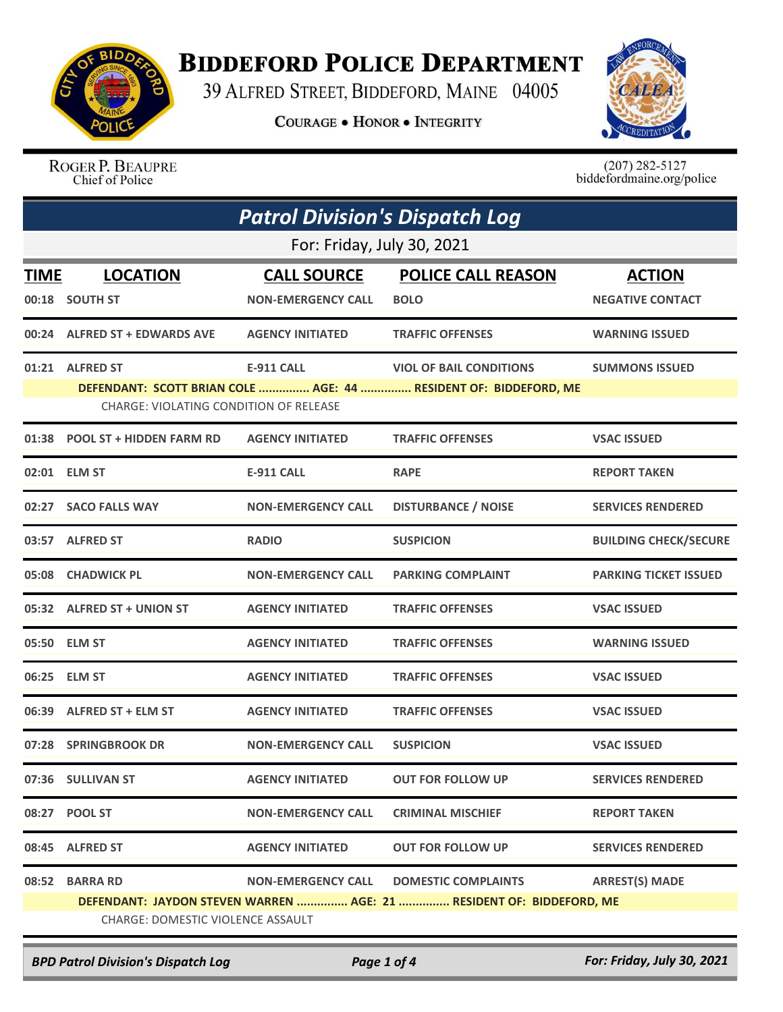

## **BIDDEFORD POLICE DEPARTMENT**

39 ALFRED STREET, BIDDEFORD, MAINE 04005

**COURAGE . HONOR . INTEGRITY** 



ROGER P. BEAUPRE Chief of Police

 $(207)$  282-5127<br>biddefordmaine.org/police

| <b>Patrol Division's Dispatch Log</b> |                                                           |                                                 |                                                                                                    |                                          |  |  |
|---------------------------------------|-----------------------------------------------------------|-------------------------------------------------|----------------------------------------------------------------------------------------------------|------------------------------------------|--|--|
|                                       | For: Friday, July 30, 2021                                |                                                 |                                                                                                    |                                          |  |  |
| <b>TIME</b>                           | <b>LOCATION</b><br>00:18 SOUTH ST                         | <b>CALL SOURCE</b><br><b>NON-EMERGENCY CALL</b> | <b>POLICE CALL REASON</b><br><b>BOLO</b>                                                           | <b>ACTION</b><br><b>NEGATIVE CONTACT</b> |  |  |
|                                       | 00:24 ALFRED ST + EDWARDS AVE                             | <b>AGENCY INITIATED</b>                         | <b>TRAFFIC OFFENSES</b>                                                                            | <b>WARNING ISSUED</b>                    |  |  |
|                                       | 01:21 ALFRED ST<br>CHARGE: VIOLATING CONDITION OF RELEASE | <b>E-911 CALL</b>                               | <b>VIOL OF BAIL CONDITIONS</b><br>DEFENDANT: SCOTT BRIAN COLE  AGE: 44  RESIDENT OF: BIDDEFORD, ME | <b>SUMMONS ISSUED</b>                    |  |  |
|                                       | 01:38 POOL ST + HIDDEN FARM RD                            | <b>AGENCY INITIATED</b>                         | <b>TRAFFIC OFFENSES</b>                                                                            | <b>VSAC ISSUED</b>                       |  |  |
|                                       | 02:01 ELM ST                                              | <b>E-911 CALL</b>                               | <b>RAPE</b>                                                                                        | <b>REPORT TAKEN</b>                      |  |  |
|                                       | 02:27 SACO FALLS WAY                                      | <b>NON-EMERGENCY CALL</b>                       | <b>DISTURBANCE / NOISE</b>                                                                         | <b>SERVICES RENDERED</b>                 |  |  |
|                                       | 03:57 ALFRED ST                                           | <b>RADIO</b>                                    | <b>SUSPICION</b>                                                                                   | <b>BUILDING CHECK/SECURE</b>             |  |  |
|                                       | 05:08 CHADWICK PL                                         | <b>NON-EMERGENCY CALL</b>                       | <b>PARKING COMPLAINT</b>                                                                           | <b>PARKING TICKET ISSUED</b>             |  |  |
|                                       | 05:32 ALFRED ST + UNION ST                                | <b>AGENCY INITIATED</b>                         | <b>TRAFFIC OFFENSES</b>                                                                            | <b>VSAC ISSUED</b>                       |  |  |
|                                       | 05:50 ELM ST                                              | <b>AGENCY INITIATED</b>                         | <b>TRAFFIC OFFENSES</b>                                                                            | <b>WARNING ISSUED</b>                    |  |  |
| 06:25                                 | <b>ELM ST</b>                                             | <b>AGENCY INITIATED</b>                         | <b>TRAFFIC OFFENSES</b>                                                                            | <b>VSAC ISSUED</b>                       |  |  |
|                                       | 06:39 ALFRED ST + ELM ST                                  | <b>AGENCY INITIATED</b>                         | <b>TRAFFIC OFFENSES</b>                                                                            | <b>VSAC ISSUED</b>                       |  |  |
|                                       | 07:28 SPRINGBROOK DR                                      | <b>NON-EMERGENCY CALL</b>                       | <b>SUSPICION</b>                                                                                   | <b>VSAC ISSUED</b>                       |  |  |
|                                       | 07:36 SULLIVAN ST                                         | <b>AGENCY INITIATED</b>                         | <b>OUT FOR FOLLOW UP</b>                                                                           | <b>SERVICES RENDERED</b>                 |  |  |
|                                       | 08:27 POOL ST                                             | <b>NON-EMERGENCY CALL</b>                       | <b>CRIMINAL MISCHIEF</b>                                                                           | <b>REPORT TAKEN</b>                      |  |  |
| 08:45                                 | <b>ALFRED ST</b>                                          | <b>AGENCY INITIATED</b>                         | <b>OUT FOR FOLLOW UP</b>                                                                           | <b>SERVICES RENDERED</b>                 |  |  |
|                                       | 08:52 BARRA RD                                            | <b>NON-EMERGENCY CALL</b>                       | <b>DOMESTIC COMPLAINTS</b><br>DEFENDANT: JAYDON STEVEN WARREN  AGE: 21  RESIDENT OF: BIDDEFORD, ME | <b>ARREST(S) MADE</b>                    |  |  |
| CHARGE: DOMESTIC VIOLENCE ASSAULT     |                                                           |                                                 |                                                                                                    |                                          |  |  |

*BPD Patrol Division's Dispatch Log Page 1 of 4 For: Friday, July 30, 2021*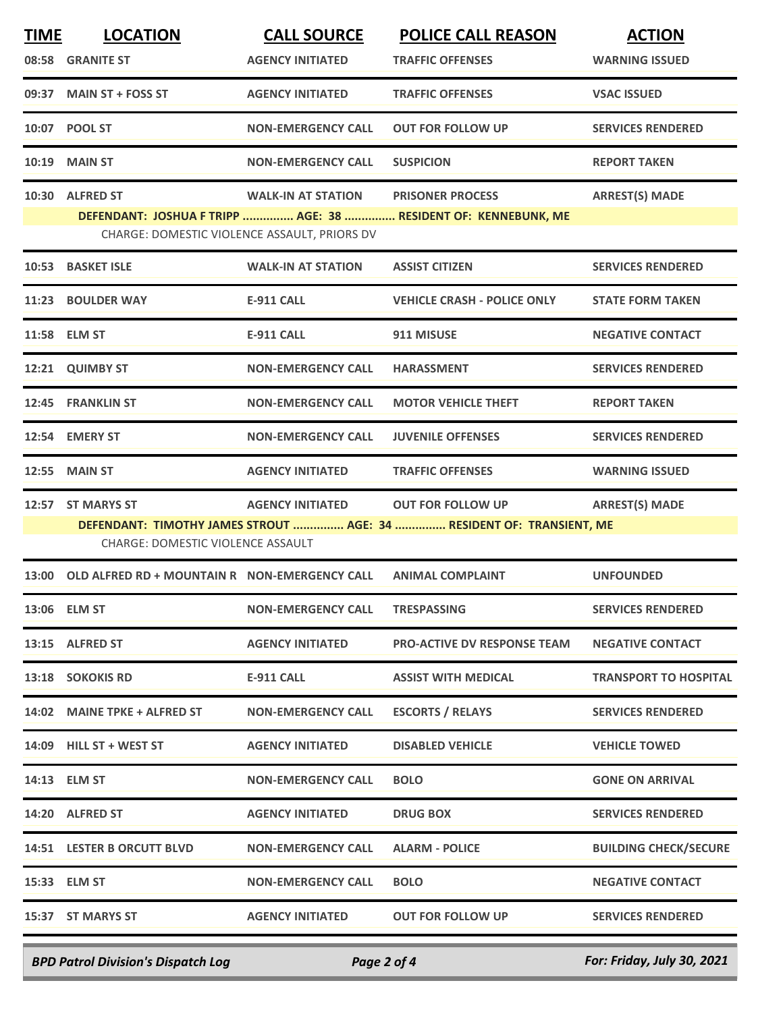| <b>TIME</b> | <b>LOCATION</b>                                     | <b>CALL SOURCE</b>        | <b>POLICE CALL REASON</b>                                            | <b>ACTION</b>                |
|-------------|-----------------------------------------------------|---------------------------|----------------------------------------------------------------------|------------------------------|
|             | 08:58 GRANITE ST                                    | <b>AGENCY INITIATED</b>   | <b>TRAFFIC OFFENSES</b>                                              | <b>WARNING ISSUED</b>        |
|             | 09:37 MAIN ST + FOSS ST                             | <b>AGENCY INITIATED</b>   | <b>TRAFFIC OFFENSES</b>                                              | <b>VSAC ISSUED</b>           |
|             | 10:07 POOL ST                                       | <b>NON-EMERGENCY CALL</b> | <b>OUT FOR FOLLOW UP</b>                                             | <b>SERVICES RENDERED</b>     |
|             | 10:19 MAIN ST                                       | <b>NON-EMERGENCY CALL</b> | <b>SUSPICION</b>                                                     | <b>REPORT TAKEN</b>          |
|             | 10:30 ALFRED ST                                     | <b>WALK-IN AT STATION</b> | <b>PRISONER PROCESS</b>                                              | <b>ARREST(S) MADE</b>        |
|             |                                                     |                           | DEFENDANT: JOSHUA F TRIPP  AGE: 38  RESIDENT OF: KENNEBUNK, ME       |                              |
|             | CHARGE: DOMESTIC VIOLENCE ASSAULT, PRIORS DV        |                           |                                                                      |                              |
|             | 10:53 BASKET ISLE                                   | <b>WALK-IN AT STATION</b> | <b>ASSIST CITIZEN</b>                                                | <b>SERVICES RENDERED</b>     |
|             | 11:23 BOULDER WAY                                   | <b>E-911 CALL</b>         | <b>VEHICLE CRASH - POLICE ONLY</b>                                   | <b>STATE FORM TAKEN</b>      |
|             | 11:58 ELM ST                                        | <b>E-911 CALL</b>         | 911 MISUSE                                                           | <b>NEGATIVE CONTACT</b>      |
|             | 12:21 QUIMBY ST                                     | <b>NON-EMERGENCY CALL</b> | <b>HARASSMENT</b>                                                    | <b>SERVICES RENDERED</b>     |
|             | 12:45 FRANKLIN ST                                   | <b>NON-EMERGENCY CALL</b> | <b>MOTOR VEHICLE THEFT</b>                                           | <b>REPORT TAKEN</b>          |
|             | 12:54 EMERY ST                                      | <b>NON-EMERGENCY CALL</b> | <b>JUVENILE OFFENSES</b>                                             | <b>SERVICES RENDERED</b>     |
| 12:55       | <b>MAIN ST</b>                                      | <b>AGENCY INITIATED</b>   | <b>TRAFFIC OFFENSES</b>                                              | <b>WARNING ISSUED</b>        |
|             | 12:57 ST MARYS ST                                   | <b>AGENCY INITIATED</b>   | <b>OUT FOR FOLLOW UP</b>                                             | <b>ARREST(S) MADE</b>        |
|             |                                                     |                           | DEFENDANT: TIMOTHY JAMES STROUT  AGE: 34  RESIDENT OF: TRANSIENT, ME |                              |
|             | <b>CHARGE: DOMESTIC VIOLENCE ASSAULT</b>            |                           |                                                                      |                              |
|             | 13:00 OLD ALFRED RD + MOUNTAIN R NON-EMERGENCY CALL |                           | <b>ANIMAL COMPLAINT</b>                                              | <b>UNFOUNDED</b>             |
|             | 13:06 ELM ST                                        | <b>NON-EMERGENCY CALL</b> | <b>TRESPASSING</b>                                                   | <b>SERVICES RENDERED</b>     |
|             | 13:15 ALFRED ST                                     | <b>AGENCY INITIATED</b>   | <b>PRO-ACTIVE DV RESPONSE TEAM</b>                                   | <b>NEGATIVE CONTACT</b>      |
|             | 13:18 SOKOKIS RD                                    | <b>E-911 CALL</b>         | <b>ASSIST WITH MEDICAL</b>                                           | <b>TRANSPORT TO HOSPITAL</b> |
|             | 14:02 MAINE TPKE + ALFRED ST                        | <b>NON-EMERGENCY CALL</b> | <b>ESCORTS / RELAYS</b>                                              | <b>SERVICES RENDERED</b>     |
|             | 14:09 HILL ST + WEST ST                             | <b>AGENCY INITIATED</b>   | <b>DISABLED VEHICLE</b>                                              | <b>VEHICLE TOWED</b>         |
|             | 14:13 ELM ST                                        | <b>NON-EMERGENCY CALL</b> | <b>BOLO</b>                                                          | <b>GONE ON ARRIVAL</b>       |
|             | 14:20 ALFRED ST                                     | <b>AGENCY INITIATED</b>   | <b>DRUG BOX</b>                                                      | <b>SERVICES RENDERED</b>     |
|             | 14:51 LESTER B ORCUTT BLVD                          | <b>NON-EMERGENCY CALL</b> | <b>ALARM - POLICE</b>                                                | <b>BUILDING CHECK/SECURE</b> |
|             | 15:33 ELM ST                                        | <b>NON-EMERGENCY CALL</b> | <b>BOLO</b>                                                          | <b>NEGATIVE CONTACT</b>      |
|             | 15:37 ST MARYS ST                                   | <b>AGENCY INITIATED</b>   | <b>OUT FOR FOLLOW UP</b>                                             | <b>SERVICES RENDERED</b>     |
|             |                                                     |                           |                                                                      |                              |

*BPD Patrol Division's Dispatch Log Page 2 of 4 For: Friday, July 30, 2021*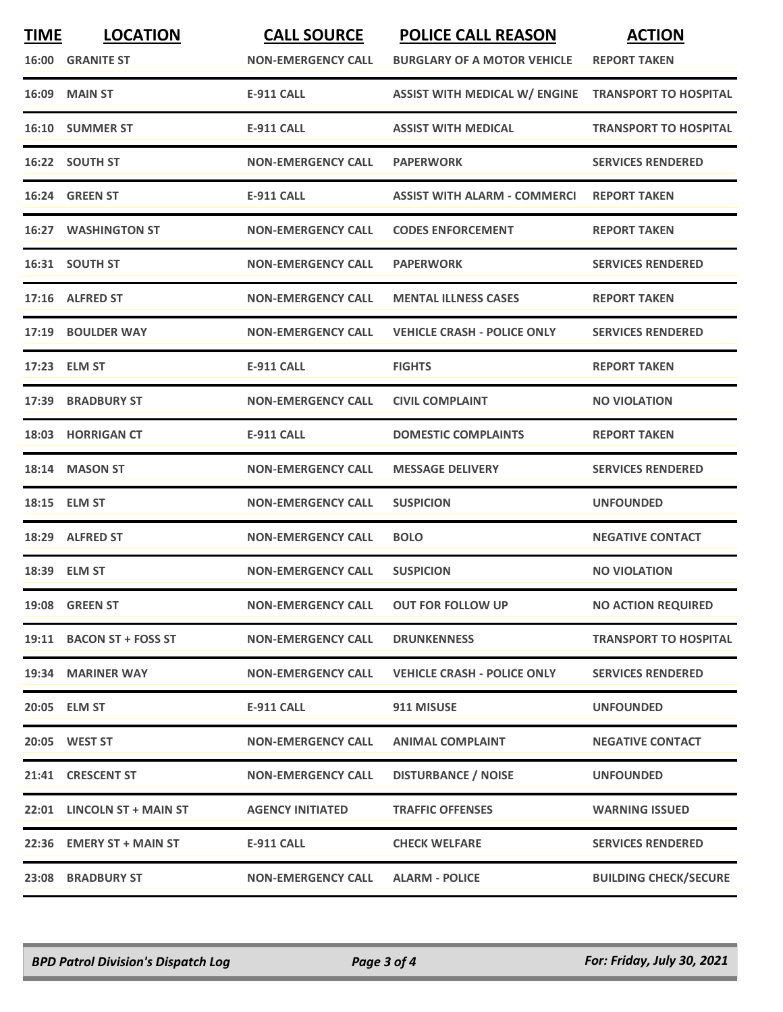| <b>TIME</b> | <b>LOCATION</b><br><b>16:00 GRANITE ST</b> | <b>CALL SOURCE</b><br><b>NON-EMERGENCY CALL</b> | <b>POLICE CALL REASON</b><br><b>BURGLARY OF A MOTOR VEHICLE</b> | <b>ACTION</b><br><b>REPORT TAKEN</b> |
|-------------|--------------------------------------------|-------------------------------------------------|-----------------------------------------------------------------|--------------------------------------|
|             | <b>16:09 MAIN ST</b>                       | <b>E-911 CALL</b>                               | <b>ASSIST WITH MEDICAL W/ ENGINE</b>                            | <b>TRANSPORT TO HOSPITAL</b>         |
|             | 16:10 SUMMER ST                            | <b>E-911 CALL</b>                               | <b>ASSIST WITH MEDICAL</b>                                      | <b>TRANSPORT TO HOSPITAL</b>         |
|             | 16:22 SOUTH ST                             | <b>NON-EMERGENCY CALL</b>                       | <b>PAPERWORK</b>                                                | <b>SERVICES RENDERED</b>             |
|             | 16:24 GREEN ST                             | <b>E-911 CALL</b>                               | ASSIST WITH ALARM - COMMERCI                                    | <b>REPORT TAKEN</b>                  |
|             | <b>16:27 WASHINGTON ST</b>                 | <b>NON-EMERGENCY CALL</b>                       | <b>CODES ENFORCEMENT</b>                                        | <b>REPORT TAKEN</b>                  |
|             | 16:31 SOUTH ST                             | <b>NON-EMERGENCY CALL</b>                       | <b>PAPERWORK</b>                                                | <b>SERVICES RENDERED</b>             |
|             | 17:16 ALFRED ST                            | <b>NON-EMERGENCY CALL</b>                       | <b>MENTAL ILLNESS CASES</b>                                     | <b>REPORT TAKEN</b>                  |
|             | 17:19 BOULDER WAY                          | <b>NON-EMERGENCY CALL</b>                       | <b>VEHICLE CRASH - POLICE ONLY</b>                              | <b>SERVICES RENDERED</b>             |
|             | 17:23 ELM ST                               | <b>E-911 CALL</b>                               | <b>FIGHTS</b>                                                   | <b>REPORT TAKEN</b>                  |
| 17:39       | <b>BRADBURY ST</b>                         | <b>NON-EMERGENCY CALL</b>                       | <b>CIVIL COMPLAINT</b>                                          | <b>NO VIOLATION</b>                  |
|             | 18:03 HORRIGAN CT                          | <b>E-911 CALL</b>                               | <b>DOMESTIC COMPLAINTS</b>                                      | <b>REPORT TAKEN</b>                  |
|             | 18:14 MASON ST                             | <b>NON-EMERGENCY CALL</b>                       | <b>MESSAGE DELIVERY</b>                                         | <b>SERVICES RENDERED</b>             |
|             | 18:15 ELM ST                               | <b>NON-EMERGENCY CALL</b>                       | <b>SUSPICION</b>                                                | <b>UNFOUNDED</b>                     |
| 18:29       | <b>ALFRED ST</b>                           | <b>NON-EMERGENCY CALL</b>                       | <b>BOLO</b>                                                     | <b>NEGATIVE CONTACT</b>              |
|             | 18:39 ELM ST                               | <b>NON-EMERGENCY CALL</b>                       | <b>SUSPICION</b>                                                | <b>NO VIOLATION</b>                  |
|             | 19:08 GREEN ST                             | <b>NON-EMERGENCY CALL</b>                       | <b>OUT FOR FOLLOW UP</b>                                        | <b>NO ACTION REQUIRED</b>            |
|             | 19:11 BACON ST + FOSS ST                   | <b>NON-EMERGENCY CALL</b>                       | <b>DRUNKENNESS</b>                                              | <b>TRANSPORT TO HOSPITAL</b>         |
|             | 19:34 MARINER WAY                          | <b>NON-EMERGENCY CALL</b>                       | <b>VEHICLE CRASH - POLICE ONLY</b>                              | <b>SERVICES RENDERED</b>             |
|             | 20:05 ELM ST                               | <b>E-911 CALL</b>                               | 911 MISUSE                                                      | <b>UNFOUNDED</b>                     |
|             | 20:05 WEST ST                              | <b>NON-EMERGENCY CALL</b>                       | <b>ANIMAL COMPLAINT</b>                                         | <b>NEGATIVE CONTACT</b>              |
|             | 21:41 CRESCENT ST                          | <b>NON-EMERGENCY CALL</b>                       | <b>DISTURBANCE / NOISE</b>                                      | <b>UNFOUNDED</b>                     |
|             | 22:01 LINCOLN ST + MAIN ST                 | <b>AGENCY INITIATED</b>                         | <b>TRAFFIC OFFENSES</b>                                         | <b>WARNING ISSUED</b>                |
|             | 22:36 EMERY ST + MAIN ST                   | <b>E-911 CALL</b>                               | <b>CHECK WELFARE</b>                                            | <b>SERVICES RENDERED</b>             |
|             | 23:08 BRADBURY ST                          | <b>NON-EMERGENCY CALL</b>                       | <b>ALARM - POLICE</b>                                           | <b>BUILDING CHECK/SECURE</b>         |